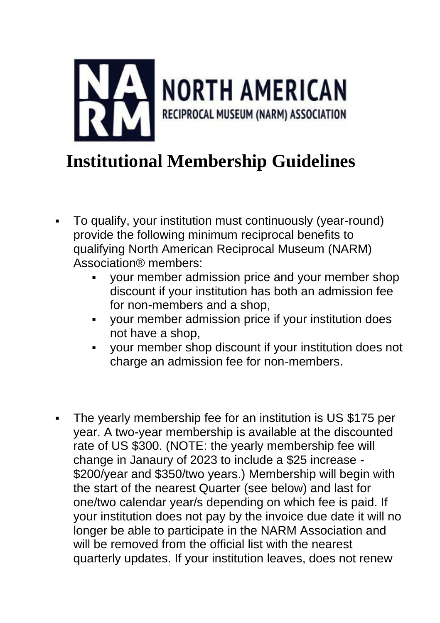

## **Institutional Membership Guidelines**

- To qualify, your institution must continuously (year-round) provide the following minimum reciprocal benefits to qualifying North American Reciprocal Museum (NARM) Association® members:
	- your member admission price and your member shop discount if your institution has both an admission fee for non-members and a shop,
	- your member admission price if your institution does not have a shop,
	- your member shop discount if your institution does not charge an admission fee for non-members.
- The yearly membership fee for an institution is US \$175 per year. A two-year membership is available at the discounted rate of US \$300. (NOTE: the yearly membership fee will change in Janaury of 2023 to include a \$25 increase - \$200/year and \$350/two years.) Membership will begin with the start of the nearest Quarter (see below) and last for one/two calendar year/s depending on which fee is paid. If your institution does not pay by the invoice due date it will no longer be able to participate in the NARM Association and will be removed from the official list with the nearest quarterly updates. If your institution leaves, does not renew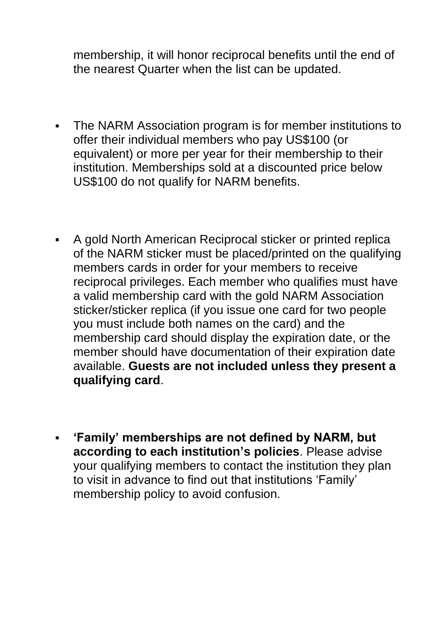membership, it will honor reciprocal benefits until the end of the nearest Quarter when the list can be updated.

- The NARM Association program is for member institutions to offer their individual members who pay US\$100 (or equivalent) or more per year for their membership to their institution. Memberships sold at a discounted price below US\$100 do not qualify for NARM benefits.
- A gold North American Reciprocal sticker or printed replica of the NARM sticker must be placed/printed on the qualifying members cards in order for your members to receive reciprocal privileges. Each member who qualifies must have a valid membership card with the gold NARM Association sticker/sticker replica (if you issue one card for two people you must include both names on the card) and the membership card should display the expiration date, or the member should have documentation of their expiration date available. **Guests are not included unless they present a qualifying card**.
- **'Family' memberships are not defined by NARM, but according to each institution's policies**. Please advise your qualifying members to contact the institution they plan to visit in advance to find out that institutions 'Family' membership policy to avoid confusion.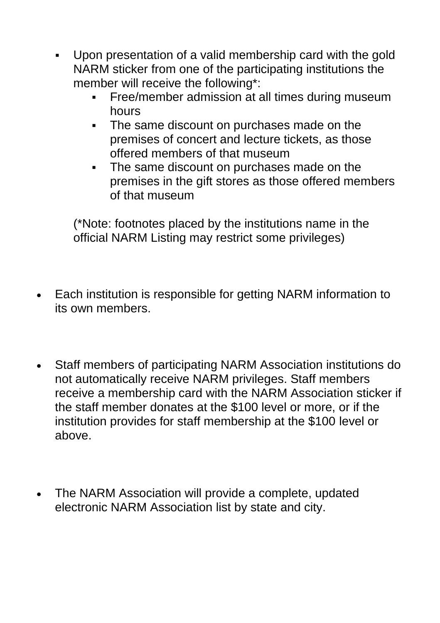- Upon presentation of a valid membership card with the gold NARM sticker from one of the participating institutions the member will receive the following\*:
	- **•** Free/member admission at all times during museum hours
	- The same discount on purchases made on the premises of concert and lecture tickets, as those offered members of that museum
	- The same discount on purchases made on the premises in the gift stores as those offered members of that museum

(\*Note: footnotes placed by the institutions name in the official NARM Listing may restrict some privileges)

- Each institution is responsible for getting NARM information to its own members.
- Staff members of participating NARM Association institutions do not automatically receive NARM privileges. Staff members receive a membership card with the NARM Association sticker if the staff member donates at the \$100 level or more, or if the institution provides for staff membership at the \$100 level or above.
- The NARM Association will provide a complete, updated electronic NARM Association list by state and city.